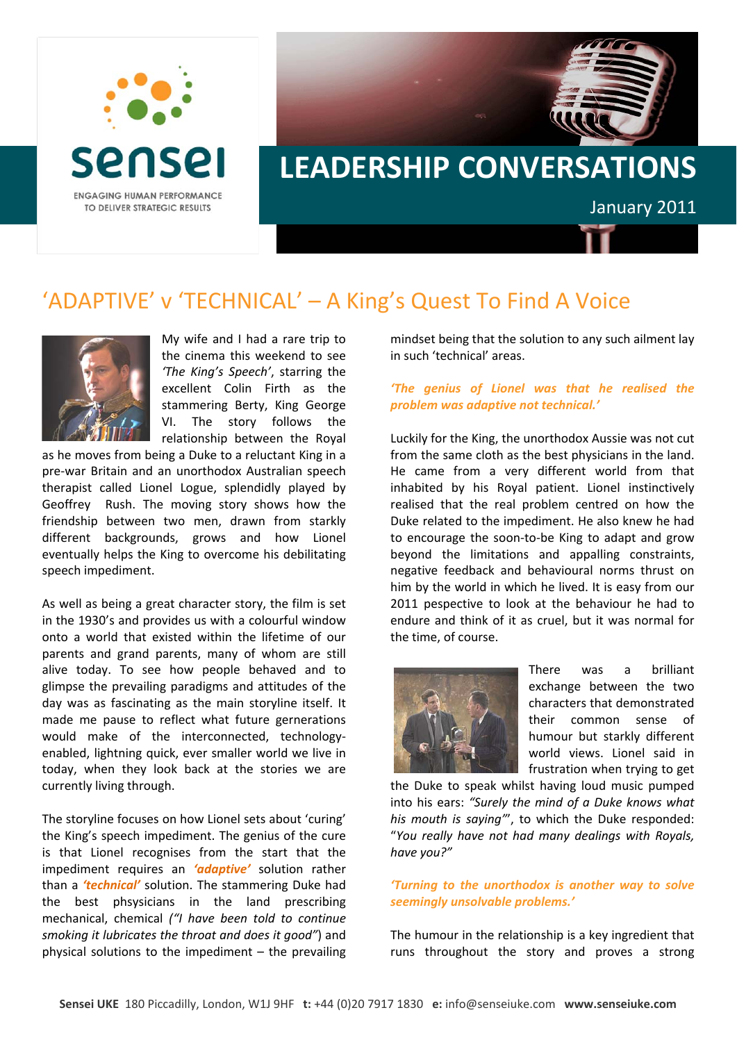

## **LEADERSHIP CONVERSATIONS** January 2011

## 'ADAPTIVE' v 'TECHNICAL' – A King's Quest To Find A Voice



My wife and I had a rare trip to the cinema this weekend to see *'The King's Speech'*, starring the excellent Colin Firth as the stammering Berty, King George VI. The story follows the relationship between the Royal

as he moves from being a Duke to a reluctant King in a pre‐war Britain and an unorthodox Australian speech therapist called Lionel Logue, splendidly played by Geoffrey Rush. The moving story shows how the friendship between two men, drawn from starkly different backgrounds, grows and how Lionel eventually helps the King to overcome his debilitating speech impediment.

As well as being a great character story, the film is set in the 1930's and provides us with a colourful window onto a world that existed within the lifetime of our parents and grand parents, many of whom are still alive today. To see how people behaved and to glimpse the prevailing paradigms and attitudes of the day was as fascinating as the main storyline itself. It made me pause to reflect what future gernerations would make of the interconnected, technologyenabled, lightning quick, ever smaller world we live in today, when they look back at the stories we are currently living through.

The storyline focuses on how Lionel sets about 'curing' the King's speech impediment. The genius of the cure is that Lionel recognises from the start that the impediment requires an *'adaptive'* solution rather than a *'technical'* solution. The stammering Duke had the best phsysicians in the land prescribing mechanical, chemical *("I have been told to continue smoking it lubricates the throat and does it good"*) and physical solutions to the impediment – the prevailing mindset being that the solution to any such ailment lay in such 'technical' areas.

## *'The genius of Lionel was that he realised the problem was adaptive not technical.'*

Luckily for the King, the unorthodox Aussie was not cut from the same cloth as the best physicians in the land. He came from a very different world from that inhabited by his Royal patient. Lionel instinctively realised that the real problem centred on how the Duke related to the impediment. He also knew he had to encourage the soon‐to‐be King to adapt and grow beyond the limitations and appalling constraints, negative feedback and behavioural norms thrust on him by the world in which he lived. It is easy from our 2011 pespective to look at the behaviour he had to endure and think of it as cruel, but it was normal for the time, of course.



There was a brilliant exchange between the two characters that demonstrated their common sense of humour but starkly different world views. Lionel said in frustration when trying to get

the Duke to speak whilst having loud music pumped into his ears: *"Surely the mind of a Duke knows what his mouth is saying"*', to which the Duke responded: "*You really have not had many dealings with Royals, have you?"*

## *'Turning to the unorthodox is another way to solve seemingly unsolvable problems.'*

The humour in the relationship is a key ingredient that runs throughout the story and proves a strong